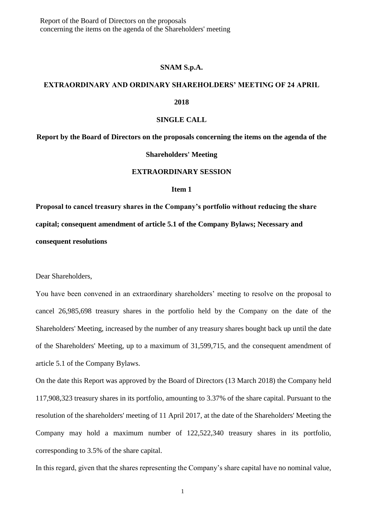Report of the Board of Directors on the proposals concerning the items on the agenda of the Shareholders' meeting

## **SNAM S.p.A.**

# **EXTRAORDINARY AND ORDINARY SHAREHOLDERS' MEETING OF 24 APRIL**

## **2018**

## **SINGLE CALL**

**Report by the Board of Directors on the proposals concerning the items on the agenda of the** 

#### **Shareholders' Meeting**

## **EXTRAORDINARY SESSION**

### **Item 1**

**Proposal to cancel treasury shares in the Company's portfolio without reducing the share capital; consequent amendment of article 5.1 of the Company Bylaws; Necessary and consequent resolutions**

Dear Shareholders,

You have been convened in an extraordinary shareholders' meeting to resolve on the proposal to cancel 26,985,698 treasury shares in the portfolio held by the Company on the date of the Shareholders' Meeting, increased by the number of any treasury shares bought back up until the date of the Shareholders' Meeting, up to a maximum of 31,599,715, and the consequent amendment of article 5.1 of the Company Bylaws.

On the date this Report was approved by the Board of Directors (13 March 2018) the Company held 117,908,323 treasury shares in its portfolio, amounting to 3.37% of the share capital. Pursuant to the resolution of the shareholders' meeting of 11 April 2017, at the date of the Shareholders' Meeting the Company may hold a maximum number of 122,522,340 treasury shares in its portfolio, corresponding to 3.5% of the share capital.

In this regard, given that the shares representing the Company's share capital have no nominal value,

1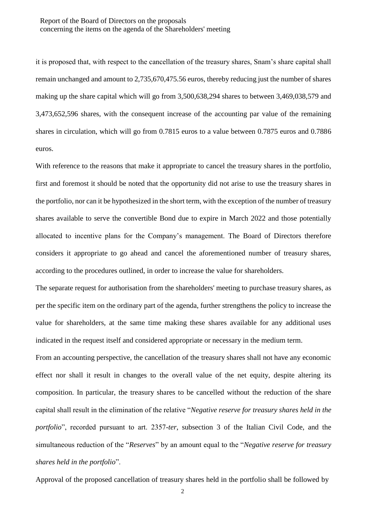# Report of the Board of Directors on the proposals concerning the items on the agenda of the Shareholders' meeting

it is proposed that, with respect to the cancellation of the treasury shares, Snam's share capital shall remain unchanged and amount to 2,735,670,475.56 euros, thereby reducing just the number of shares making up the share capital which will go from 3,500,638,294 shares to between 3,469,038,579 and 3,473,652,596 shares, with the consequent increase of the accounting par value of the remaining shares in circulation, which will go from 0.7815 euros to a value between 0.7875 euros and 0.7886 euros.

With reference to the reasons that make it appropriate to cancel the treasury shares in the portfolio, first and foremost it should be noted that the opportunity did not arise to use the treasury shares in the portfolio, nor can it be hypothesized in the short term, with the exception of the number of treasury shares available to serve the convertible Bond due to expire in March 2022 and those potentially allocated to incentive plans for the Company's management. The Board of Directors therefore considers it appropriate to go ahead and cancel the aforementioned number of treasury shares, according to the procedures outlined, in order to increase the value for shareholders.

The separate request for authorisation from the shareholders' meeting to purchase treasury shares, as per the specific item on the ordinary part of the agenda, further strengthens the policy to increase the value for shareholders, at the same time making these shares available for any additional uses indicated in the request itself and considered appropriate or necessary in the medium term.

From an accounting perspective, the cancellation of the treasury shares shall not have any economic effect nor shall it result in changes to the overall value of the net equity, despite altering its composition. In particular, the treasury shares to be cancelled without the reduction of the share capital shall result in the elimination of the relative "*Negative reserve for treasury shares held in the portfolio*", recorded pursuant to art. 2357-*ter*, subsection 3 of the Italian Civil Code, and the simultaneous reduction of the "*Reserves*" by an amount equal to the "*Negative reserve for treasury shares held in the portfolio*".

Approval of the proposed cancellation of treasury shares held in the portfolio shall be followed by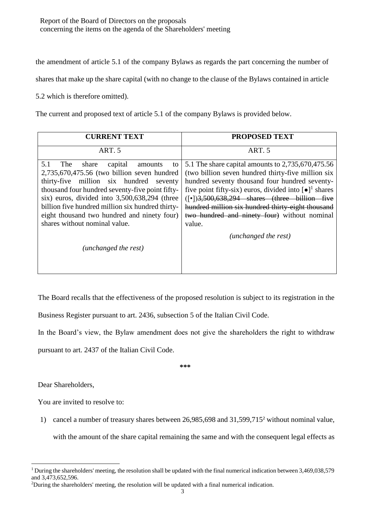Report of the Board of Directors on the proposals concerning the items on the agenda of the Shareholders' meeting

the amendment of article 5.1 of the company Bylaws as regards the part concerning the number of

shares that make up the share capital (with no change to the clause of the Bylaws contained in article

5.2 which is therefore omitted).

The current and proposed text of article 5.1 of the company Bylaws is provided below.

| <b>CURRENT TEXT</b>                                                                                                                                                                                                                                                                                                                                                               | <b>PROPOSED TEXT</b>                                                                                                                                                                                                                                                                                                                                                                                                       |
|-----------------------------------------------------------------------------------------------------------------------------------------------------------------------------------------------------------------------------------------------------------------------------------------------------------------------------------------------------------------------------------|----------------------------------------------------------------------------------------------------------------------------------------------------------------------------------------------------------------------------------------------------------------------------------------------------------------------------------------------------------------------------------------------------------------------------|
| ART. 5                                                                                                                                                                                                                                                                                                                                                                            | ART. 5                                                                                                                                                                                                                                                                                                                                                                                                                     |
| 5.1<br>capital<br>The<br>share<br>amounts<br>to<br>2,735,670,475.56 (two billion seven hundred<br>thirty-five million six hundred seventy<br>thousand four hundred seventy-five point fifty-<br>six) euros, divided into 3,500,638,294 (three<br>billion five hundred million six hundred thirty-<br>eight thousand two hundred and ninety four)<br>shares without nominal value. | 5.1 The share capital amounts to 2,735,670,475.56<br>(two billion seven hundred thirty-five million six<br>hundred seventy thousand four hundred seventy-<br>five point fifty-six) euros, divided into $\lceil \bullet \rceil^1$ shares<br>$(\lceil \cdot \rceil)$ 3,500,638,294 shares (three billion five<br>hundred million six hundred thirty-eight thousand<br>two hundred and ninety four) without nominal<br>value. |
| (unchanged the rest)                                                                                                                                                                                                                                                                                                                                                              | (unchanged the rest)                                                                                                                                                                                                                                                                                                                                                                                                       |

The Board recalls that the effectiveness of the proposed resolution is subject to its registration in the

Business Register pursuant to art. 2436, subsection 5 of the Italian Civil Code.

In the Board's view, the Bylaw amendment does not give the shareholders the right to withdraw

pursuant to art. 2437 of the Italian Civil Code.

**\*\*\***

Dear Shareholders,

You are invited to resolve to:

1) cancel a number of treasury shares between 26,985,698 and 31,599,715<sup>2</sup> without nominal value, with the amount of the share capital remaining the same and with the consequent legal effects as

**<sup>.</sup>** <sup>1</sup> During the shareholders' meeting, the resolution shall be updated with the final numerical indication between  $3,469,038,579$ and 3,473,652,596.

<sup>2</sup>During the shareholders' meeting, the resolution will be updated with a final numerical indication.